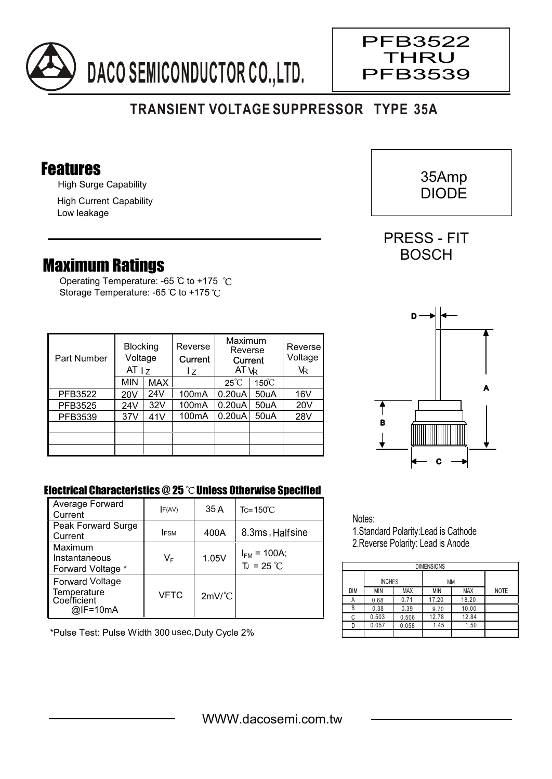

## **TRANSIENT VOLTAGE SUPPRESSOR TYPE 35A**

#### Features

High Surge Capability

High Current Capability Low leakage

### Maximum Ratings

Operating Temperature: -65 °C to +175 °C Storage Temperature: -65 °C to +175 °C

| Part Number | <b>Blocking</b><br>Voltage<br>AT <sub>1z</sub> |     | Reverse<br>Current<br>17 | Maximum<br>Reverse<br>Current<br>AT VR |                 | Reverse<br>Voltage<br>VR |
|-------------|------------------------------------------------|-----|--------------------------|----------------------------------------|-----------------|--------------------------|
|             | <b>MIN</b>                                     | MAX |                          | $25^{\circ}$ C                         | $150^{\circ}$ C |                          |
| PFB3522     | 20V                                            | 24V | 100 <sub>m</sub> A       | 0.20 <sub>u</sub> A                    | 50uA            | 16V                      |
| PFB3525     | 24V                                            | 32V | 100 <sub>m</sub> A       | 0.20 <sub>u</sub> A                    | 50uA            | 20V                      |
| PFB3539     | 37V                                            | 41V | 100 <sub>m</sub> A       | 0.20 <sub>u</sub> A                    | 50uA            | 28V                      |
|             |                                                |     |                          |                                        |                 |                          |
|             |                                                |     |                          |                                        |                 |                          |
|             |                                                |     |                          |                                        |                 |                          |

# C A B D

#### Electrical Characteristics  $@25$   $^{\circ}$ C Unless Otherwise Specified

| Average Forward<br>Current                                       | F(AV)       | 35 A                 | $Tc = 150^{\circ}C$                     |
|------------------------------------------------------------------|-------------|----------------------|-----------------------------------------|
| Peak Forward Surge<br>Current                                    | <b>IFSM</b> | 400A                 | 8.3ms, Halfsine                         |
| Maximum<br>Instantaneous<br>Forward Voltage *                    | VF          | 1.05V                | $I_{FM}$ = 100A;<br>$T_J = 25^{\circ}C$ |
| <b>Forward Voltage</b><br>Temperature<br>Coefficient<br>@IF=10mA | VFTC        | $2mV$ <sup>°</sup> C |                                         |

\*Pulse Test: Pulse Width 300 usec,Duty Cycle 2%

Notes: 1.Standard Polarity:Lead is Cathode 2.Reverse Polarity: Lead is Anode

| <b>DIMENSIONS</b> |               |            |       |            |             |  |  |  |  |  |  |
|-------------------|---------------|------------|-------|------------|-------------|--|--|--|--|--|--|
|                   |               |            |       |            |             |  |  |  |  |  |  |
|                   | <b>INCHES</b> |            | МM    |            |             |  |  |  |  |  |  |
| <b>DIM</b>        | <b>MIN</b>    | <b>MAX</b> | MIN   | <b>MAX</b> | <b>NOTE</b> |  |  |  |  |  |  |
| А                 | 0.68          | 0.71       | 17.20 | 18.20      |             |  |  |  |  |  |  |
| B                 | 0.38          | 0.39       | 9.70  | 10.00      |             |  |  |  |  |  |  |
| C                 | 0.503         | 0.506      | 12.78 | 12.84      |             |  |  |  |  |  |  |
|                   | 0.057         | 0.058      | 1.45  | 1.50       |             |  |  |  |  |  |  |
|                   |               |            |       |            |             |  |  |  |  |  |  |



PRESS - FIT **BOSCH** 

PFB3522 THRU PFB3539

 $\overline{\phantom{a}}$